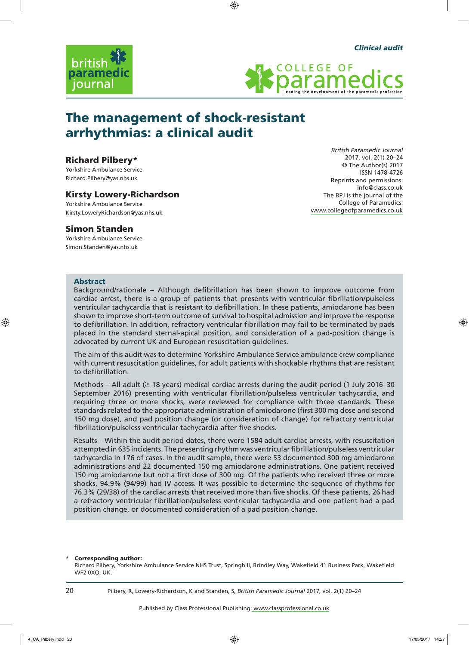



# The management of shock-resistant arrhythmias: a clinical audit

# Richard Pilbery\*

Yorkshire Ambulance Service Richard.Pilbery@yas.nhs.uk

# Kirsty Lowery-Richardson

Yorkshire Ambulance Service Kirsty.LoweryRichardson@yas.nhs.uk

# Simon Standen

Yorkshire Ambulance Service Simon.Standen@yas.nhs.uk

*British Paramedic Journal* 2017, vol. 2(1) 20–24 © The Author(s) 2017 ISSN 1478-4726 Reprints and permissions: info@class.co.uk The BPJ is the journal of the College of Paramedics: [www.collegeofparamedics.co.uk](http://www.collegeofparamedics.co.uk)

#### Abstract

Background/rationale – Although defibrillation has been shown to improve outcome from cardiac arrest, there is a group of patients that presents with ventricular fibrillation/pulseless ventricular tachycardia that is resistant to defibrillation. In these patients, amiodarone has been shown to improve short-term outcome of survival to hospital admission and improve the response to defibrillation. In addition, refractory ventricular fibrillation may fail to be terminated by pads placed in the standard sternal-apical position, and consideration of a pad-position change is advocated by current UK and European resuscitation guidelines.

The aim of this audit was to determine Yorkshire Ambulance Service ambulance crew compliance with current resuscitation guidelines, for adult patients with shockable rhythms that are resistant to defibrillation.

Methods – All adult ( $\geq$  18 years) medical cardiac arrests during the audit period (1 July 2016–30 September 2016) presenting with ventricular fibrillation/pulseless ventricular tachycardia, and requiring three or more shocks, were reviewed for compliance with three standards. These standards related to the appropriate administration of amiodarone (first 300 mg dose and second 150 mg dose), and pad position change (or consideration of change) for refractory ventricular fibrillation/pulseless ventricular tachycardia after five shocks.

Results – Within the audit period dates, there were 1584 adult cardiac arrests, with resuscitation attempted in 635 incidents. The presenting rhythm was ventricular fibrillation/pulseless ventricular tachycardia in 176 of cases. In the audit sample, there were 53 documented 300 mg amiodarone administrations and 22 documented 150 mg amiodarone administrations. One patient received 150 mg amiodarone but not a first dose of 300 mg. Of the patients who received three or more shocks, 94.9% (94/99) had IV access. It was possible to determine the sequence of rhythms for 76.3% (29/38) of the cardiac arrests that received more than five shocks. Of these patients, 26 had a refractory ventricular fibrillation/pulseless ventricular tachycardia and one patient had a pad position change, or documented consideration of a pad position change.

#### Corresponding author:

Richard Pilbery, Yorkshire Ambulance Service NHS Trust, Springhill, Brindley Way, Wakefield 41 Business Park, Wakefield WF2 0XQ, UK.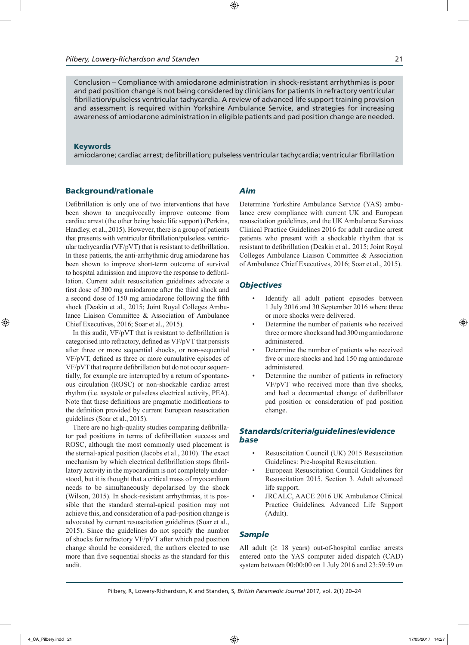Conclusion – Compliance with amiodarone administration in shock-resistant arrhythmias is poor and pad position change is not being considered by clinicians for patients in refractory ventricular fibrillation/pulseless ventricular tachycardia. A review of advanced life support training provision and assessment is required within Yorkshire Ambulance Service, and strategies for increasing awareness of amiodarone administration in eligible patients and pad position change are needed.

#### Keywords

amiodarone; cardiac arrest; defibrillation; pulseless ventricular tachycardia; ventricular fibrillation

#### Background/rationale

Defibrillation is only one of two interventions that have been shown to unequivocally improve outcome from cardiac arrest (the other being basic life support) (Perkins, Handley, et al., 2015). However, there is a group of patients that presents with ventricular fibrillation/pulseless ventricular tachycardia (VF/pVT) that is resistant to defibrillation. In these patients, the anti-arrhythmic drug amiodarone has been shown to improve short-term outcome of survival to hospital admission and improve the response to defibrillation. Current adult resuscitation guidelines advocate a first dose of 300 mg amiodarone after the third shock and a second dose of 150 mg amiodarone following the fifth shock (Deakin et al., 2015; Joint Royal Colleges Ambulance Liaison Committee & Association of Ambulance Chief Executives, 2016; Soar et al., 2015).

In this audit, VF/pVT that is resistant to defibrillation is categorised into refractory, defined as VF/pVT that persists after three or more sequential shocks, or non-sequential VF/pVT, defined as three or more cumulative episodes of VF/pVT that require defibrillation but do not occur sequentially, for example are interrupted by a return of spontaneous circulation (ROSC) or non-shockable cardiac arrest rhythm (i.e. asystole or pulseless electrical activity, PEA). Note that these definitions are pragmatic modifications to the definition provided by current European resuscitation guidelines (Soar et al., 2015).

There are no high-quality studies comparing defibrillator pad positions in terms of defibrillation success and ROSC, although the most commonly used placement is the sternal-apical position (Jacobs et al., 2010). The exact mechanism by which electrical defibrillation stops fibrillatory activity in the myocardium is not completely understood, but it is thought that a critical mass of myocardium needs to be simultaneously depolarised by the shock (Wilson, 2015). In shock-resistant arrhythmias, it is possible that the standard sternal-apical position may not achieve this, and consideration of a pad-position change is advocated by current resuscitation guidelines (Soar et al., 2015). Since the guidelines do not specify the number of shocks for refractory VF/pVT after which pad position change should be considered, the authors elected to use more than five sequential shocks as the standard for this audit.

## *Aim*

Determine Yorkshire Ambulance Service (YAS) ambulance crew compliance with current UK and European resuscitation guidelines, and the UK Ambulance Services Clinical Practice Guidelines 2016 for adult cardiac arrest patients who present with a shockable rhythm that is resistant to defibrillation (Deakin et al., 2015; Joint Royal Colleges Ambulance Liaison Committee & Association of Ambulance Chief Executives, 2016; Soar et al., 2015).

#### *Objectives*

- Identify all adult patient episodes between 1 July 2016 and 30 September 2016 where three or more shocks were delivered.
- Determine the number of patients who received three or more shocks and had 300 mg amiodarone administered.
- Determine the number of patients who received five or more shocks and had 150 mg amiodarone administered.
- Determine the number of patients in refractory VF/pVT who received more than five shocks, and had a documented change of defibrillator pad position or consideration of pad position change.

## *Standards/criteria/guidelines/evidence base*

- Resuscitation Council (UK) 2015 Resuscitation Guidelines: Pre-hospital Resuscitation.
- European Resuscitation Council Guidelines for Resuscitation 2015. Section 3. Adult advanced life support.
- JRCALC, AACE 2016 UK Ambulance Clinical Practice Guidelines. Advanced Life Support (Adult).

#### *Sample*

All adult  $( \geq 18$  years) out-of-hospital cardiac arrests entered onto the YAS computer aided dispatch (CAD) system between 00:00:00 on 1 July 2016 and 23:59:59 on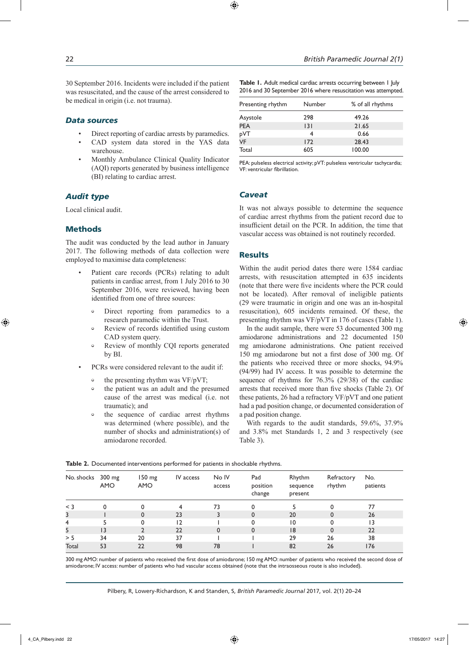30 September 2016. Incidents were included if the patient was resuscitated, and the cause of the arrest considered to be medical in origin (i.e. not trauma).

## *Data sources*

- Direct reporting of cardiac arrests by paramedics.
- CAD system data stored in the YAS data warehouse.
- Monthly Ambulance Clinical Quality Indicator (AQI) reports generated by business intelligence (BI) relating to cardiac arrest.

# *Audit type*

Local clinical audit.

## Methods

The audit was conducted by the lead author in January 2017. The following methods of data collection were employed to maximise data completeness:

- Patient care records (PCRs) relating to adult patients in cardiac arrest, from 1 July 2016 to 30 September 2016, were reviewed, having been identified from one of three sources:
	- Direct reporting from paramedics to a research paramedic within the Trust.
	- Review of records identified using custom CAD system query.
	- Review of monthly CQI reports generated by BI.
- PCRs were considered relevant to the audit if:
	- $\circ$  the presenting rhythm was VF/pVT;
	- the patient was an adult and the presumed cause of the arrest was medical (i.e. not traumatic); and
	- the sequence of cardiac arrest rhythms was determined (where possible), and the number of shocks and administration(s) of amiodarone recorded.

**Table 1.** Adult medical cardiac arrests occurring between 1 July 2016 and 30 September 2016 where resuscitation was attempted.

| Presenting rhythm | <b>Number</b> | % of all rhythms |
|-------------------|---------------|------------------|
| Asystole          | 298           | 49.26            |
| <b>PEA</b>        | 3             | 21.65            |
| pVT               |               | 0.66             |
| .<br>VF           | 172           | 28.43            |
| Total             | 605           | 100.00           |

PEA: pulseless electrical activity; pVT: pulseless ventricular tachycardia; VF: ventricular fibrillation.

#### *Caveat*

It was not always possible to determine the sequence of cardiac arrest rhythms from the patient record due to insufficient detail on the PCR. In addition, the time that vascular access was obtained is not routinely recorded.

## **Results**

Within the audit period dates there were 1584 cardiac arrests, with resuscitation attempted in 635 incidents (note that there were five incidents where the PCR could not be located). After removal of ineligible patients (29 were traumatic in origin and one was an in-hospital resuscitation), 605 incidents remained. Of these, the presenting rhythm was VF/pVT in 176 of cases (Table 1).

In the audit sample, there were 53 documented 300 mg amiodarone administrations and 22 documented 150 mg amiodarone administrations. One patient received 150 mg amiodarone but not a first dose of 300 mg. Of the patients who received three or more shocks, 94.9% (94/99) had IV access. It was possible to determine the sequence of rhythms for 76.3% (29/38) of the cardiac arrests that received more than five shocks (Table 2). Of these patients, 26 had a refractory VF/pVT and one patient had a pad position change, or documented consideration of a pad position change.

With regards to the audit standards, 59.6%, 37.9% and 3.8% met Standards 1, 2 and 3 respectively (see Table 3).

| No. shocks 300 mg | <b>AMO</b>      | 150 mg<br><b>AMO</b> | IV access | No IV<br>access | Pad<br>position<br>change | Rhythm<br>sequence<br>present | Refractory<br>rhythm | No.<br>patients |
|-------------------|-----------------|----------------------|-----------|-----------------|---------------------------|-------------------------------|----------------------|-----------------|
| $<$ 3             | 0               | O                    |           | 73              | 0                         |                               |                      | 77              |
| 3                 |                 | 0                    | 23        |                 | $\mathbf 0$               | 20                            |                      | 26              |
| 4                 |                 | n                    | 12        |                 | 0                         | 10                            |                      | 3               |
| 5                 | $\overline{13}$ |                      | 22        | $\Omega$        | $\Omega$                  | 8                             |                      | 22              |
| > 5               | 34              | 20                   | 37        |                 |                           | 29                            | 26                   | 38              |
| Total             | 53              | 22                   | 98        | 78              |                           | 82                            | 26                   | 176             |

**Table 2.** Documented interventions performed for patients in shockable rhythms.

300 mg AMO: number of patients who received the first dose of amiodarone; 150 mg AMO: number of patients who received the second dose of amiodarone; IV access: number of patients who had vascular access obtained (note that the intraosseous route is also included).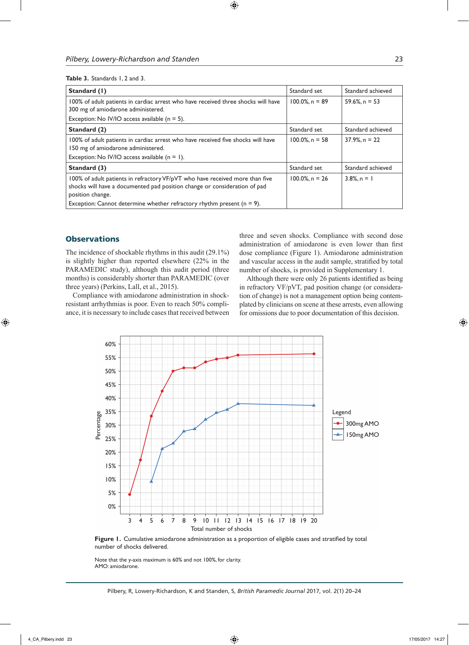#### **Table 3.** Standards 1, 2 and 3.

| Standard (1)                                                                                                                                                                  | Standard set         | Standard achieved |
|-------------------------------------------------------------------------------------------------------------------------------------------------------------------------------|----------------------|-------------------|
| 100% of adult patients in cardiac arrest who have received three shocks will have<br>300 mg of amiodarone administered.                                                       | $100.0\%$ , $n = 89$ | $59.6\%$ , n = 53 |
| Exception: No IV/IO access available ( $n = 5$ ).                                                                                                                             |                      |                   |
| Standard (2)                                                                                                                                                                  | Standard set         | Standard achieved |
| 100% of adult patients in cardiac arrest who have received five shocks will have<br>150 mg of amiodarone administered.                                                        | $100.0\%$ , n = 58   | $37.9\%$ , n = 22 |
| Exception: No IV/IO access available $(n = 1)$ .                                                                                                                              |                      |                   |
| Standard (3)                                                                                                                                                                  | Standard set         | Standard achieved |
| 100% of adult patients in refractory VF/pVT who have received more than five<br>shocks will have a documented pad position change or consideration of pad<br>position change. | $100.0\%$ , n = 26   | $3.8\%$ , n = 1   |
| Exception: Cannot determine whether refractory rhythm present ( $n = 9$ ).                                                                                                    |                      |                   |

# **Observations**

The incidence of shockable rhythms in this audit (29.1%) is slightly higher than reported elsewhere (22% in the PARAMEDIC study), although this audit period (three months) is considerably shorter than PARAMEDIC (over three years) (Perkins, Lall, et al., 2015).

Compliance with amiodarone administration in shockresistant arrhythmias is poor. Even to reach 50% compliance, it is necessary to include cases that received between three and seven shocks. Compliance with second dose administration of amiodarone is even lower than first dose compliance (Figure 1). Amiodarone administration and vascular access in the audit sample, stratified by total number of shocks, is provided in Supplementary 1.

Although there were only 26 patients identified as being in refractory VF/pVT, pad position change (or consideration of change) is not a management option being contemplated by clinicians on scene at these arrests, even allowing for omissions due to poor documentation of this decision.



Figure 1. Cumulative amiodarone administration as a proportion of eligible cases and stratified by total number of shocks delivered.

Note that the y-axis maximum is 60% and not 100%, for clarity. AMO: amiodarone.